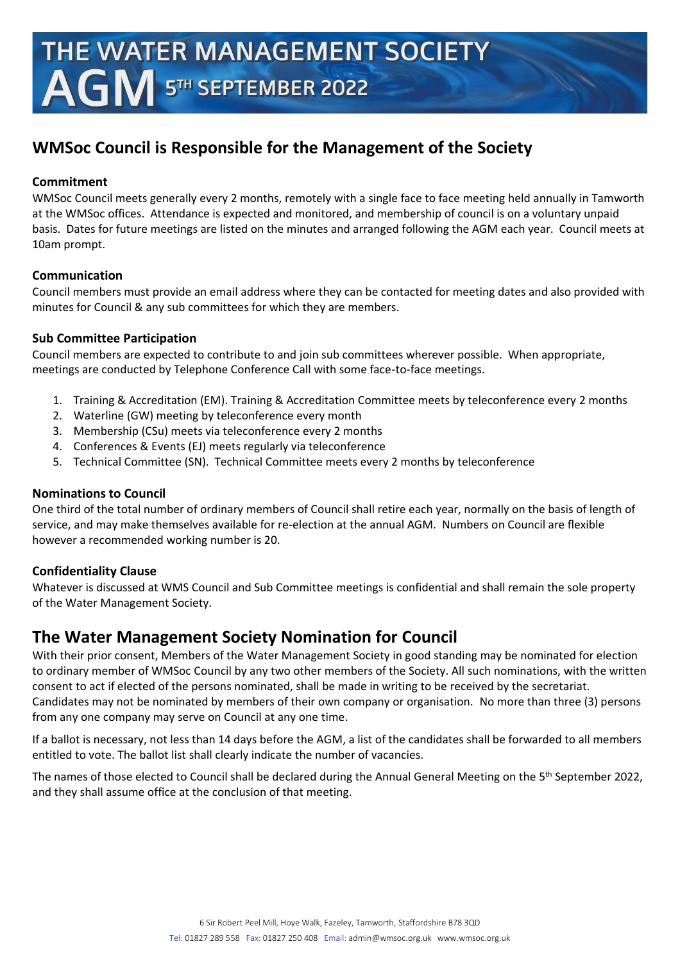# **WMSoc Council is Responsible for the Management of the Society**

## **Commitment**

WMSoc Council meets generally every 2 months, remotely with a single face to face meeting held annually in Tamworth at the WMSoc offices. Attendance is expected and monitored, and membership of council is on a voluntary unpaid basis. Dates for future meetings are listed on the minutes and arranged following the AGM each year. Council meets at 10am prompt.

## **Communication**

Council members must provide an email address where they can be contacted for meeting dates and also provided with minutes for Council & any sub committees for which they are members.

## **Sub Committee Participation**

Council members are expected to contribute to and join sub committees wherever possible. When appropriate, meetings are conducted by Telephone Conference Call with some face-to-face meetings.

- 1. Training & Accreditation (EM). Training & Accreditation Committee meets by teleconference every 2 months
- 2. Waterline (GW) meeting by teleconference every month
- 3. Membership (CSu) meets via teleconference every 2 months
- 4. Conferences & Events (EJ) meets regularly via teleconference
- 5. Technical Committee (SN). Technical Committee meets every 2 months by teleconference

# **Nominations to Council**

One third of the total number of ordinary members of Council shall retire each year, normally on the basis of length of service, and may make themselves available for re-election at the annual AGM. Numbers on Council are flexible however a recommended working number is 20.

# **Confidentiality Clause**

Whatever is discussed at WMS Council and Sub Committee meetings is confidential and shall remain the sole property of the Water Management Society.

# **The Water Management Society Nomination for Council**

With their prior consent, Members of the Water Management Society in good standing may be nominated for election to ordinary member of WMSoc Council by any two other members of the Society. All such nominations, with the written consent to act if elected of the persons nominated, shall be made in writing to be received by the secretariat. Candidates may not be nominated by members of their own company or organisation. No more than three (3) persons from any one company may serve on Council at any one time.

If a ballot is necessary, not less than 14 days before the AGM, a list of the candidates shall be forwarded to all members entitled to vote. The ballot list shall clearly indicate the number of vacancies.

The names of those elected to Council shall be declared during the Annual General Meeting on the 5<sup>th</sup> September 2022, and they shall assume office at the conclusion of that meeting.